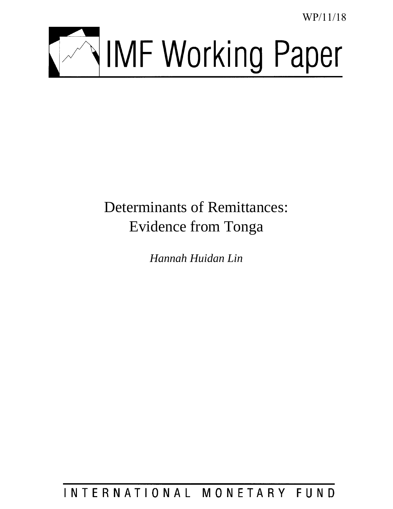WP/11/18



# Determinants of Remittances: Evidence from Tonga

*Hannah Huidan Lin*

INTERNATIONAL MONETARY FUND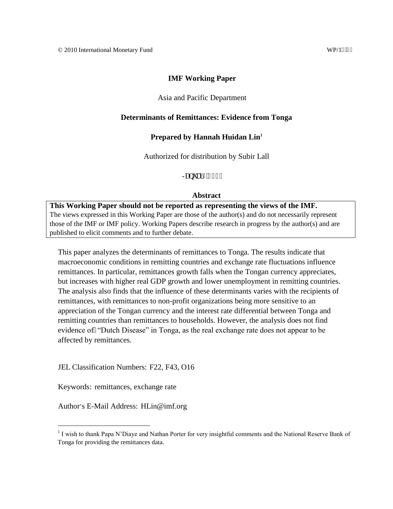#### **IMF Working Paper**

#### Asia and Pacific Department

#### **Determinants of Remittances: Evidence from Tonga**

#### **Prepared by Hannah Huidan Lin<sup>1</sup>**

Authorized for distribution by Subir Lall

Lepwet $\frac{14233}{2}$ 

#### **Abstract**

**This Working Paper should not be reported as representing the views of the IMF.** The views expressed in this Working Paper are those of the author(s) and do not necessarily represent those of the IMF or IMF policy. Working Papers describe research in progress by the author(s) and are published to elicit comments and to further debate.

This paper analyzes the determinants of remittances to Tonga. The results indicate that macroeconomic conditions in remitting countries and exchange rate fluctuations influence remittances. In particular, remittances growth falls when the Tongan currency appreciates, but increases with higher real GDP growth and lower unemployment in remitting countries. The analysis also finds that the influence of these determinants varies with the recipients of remittances, with remittances to non-profit organizations being more sensitive to an appreciation of the Tongan currency and the interest rate differential between Tonga and remitting countries than remittances to households. However, the analysis does not find evidence of "Dutch Disease" in Tonga, as the real exchange rate does not appear to be affected by remittances.

JEL Classification Numbers: F22, F43, O16

Keywords: remittances, exchange rate

 $\overline{a}$ 

Author's E-Mail Address: HLin@imf.org

<sup>&</sup>lt;sup>1</sup> I wish to thank Papa N'Diaye and Nathan Porter for very insightful comments and the National Reserve Bank of Tonga for providing the remittances data.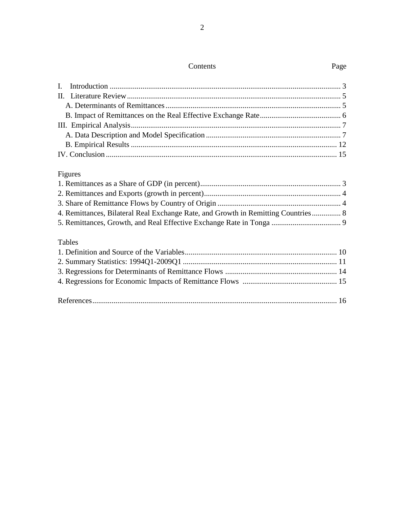## Contents Page

# Figures

| 4. Remittances, Bilateral Real Exchange Rate, and Growth in Remitting Countries 8 |  |
|-----------------------------------------------------------------------------------|--|
|                                                                                   |  |
|                                                                                   |  |
| <b>Tables</b>                                                                     |  |

#### Tables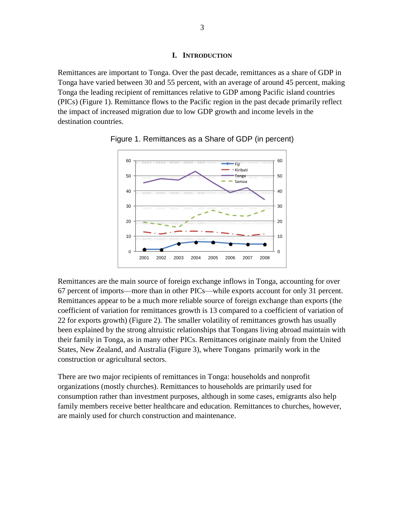#### **I. INTRODUCTION**

<span id="page-3-0"></span>Remittances are important to Tonga. Over the past decade, remittances as a share of GDP in Tonga have varied between 30 and 55 percent, with an average of around 45 percent, making Tonga the leading recipient of remittances relative to GDP among Pacific island countries (PICs) (Figure 1). Remittance flows to the Pacific region in the past decade primarily reflect the impact of increased migration due to low GDP growth and income levels in the destination countries.



<span id="page-3-1"></span>Figure 1. Remittances as a Share of GDP (in percent)

Remittances are the main source of foreign exchange inflows in Tonga, accounting for over 67 percent of imports—more than in other PICs—while exports account for only 31 percent. Remittances appear to be a much more reliable source of foreign exchange than exports (the coefficient of variation for remittances growth is 13 compared to a coefficient of variation of 22 for exports growth) (Figure 2). The smaller volatility of remittances growth has usually been explained by the strong altruistic relationships that Tongans living abroad maintain with their family in Tonga, as in many other PICs. Remittances originate mainly from the United States, New Zealand, and Australia (Figure 3), where Tongans primarily work in the construction or agricultural sectors.

<span id="page-3-2"></span>There are two major recipients of remittances in Tonga: households and nonprofit organizations (mostly churches). Remittances to households are primarily used for consumption rather than investment purposes, although in some cases, emigrants also help family members receive better healthcare and education. Remittances to churches, however, are mainly used for church construction and maintenance.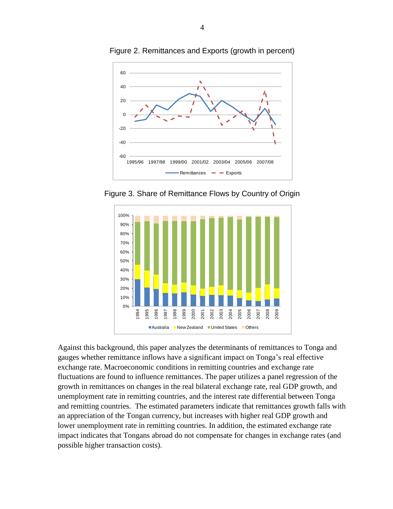

Figure 2. Remittances and Exports (growth in percent)

<span id="page-4-0"></span>Figure 3. Share of Remittance Flows by Country of Origin



Against this background, this paper analyzes the determinants of remittances to Tonga and gauges whether remittance inflows have a significant impact on Tonga's real effective exchange rate. Macroeconomic conditions in remitting countries and exchange rate fluctuations are found to influence remittances. The paper utilizes a panel regression of the growth in remittances on changes in the real bilateral exchange rate, real GDP growth, and unemployment rate in remitting countries, and the interest rate differential between Tonga and remitting countries. The estimated parameters indicate that remittances growth falls with an appreciation of the Tongan currency, but increases with higher real GDP growth and lower unemployment rate in remitting countries. In addition, the estimated exchange rate impact indicates that Tongans abroad do not compensate for changes in exchange rates (and possible higher transaction costs).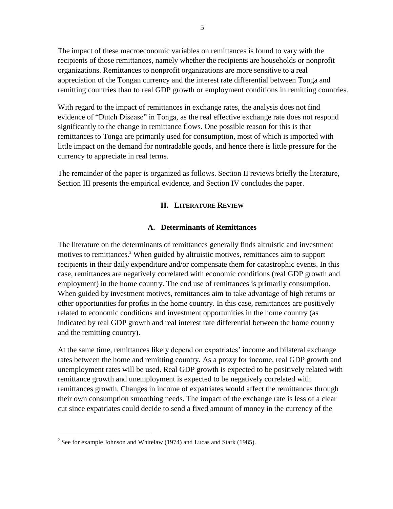The impact of these macroeconomic variables on remittances is found to vary with the recipients of those remittances, namely whether the recipients are households or nonprofit organizations. Remittances to nonprofit organizations are more sensitive to a real appreciation of the Tongan currency and the interest rate differential between Tonga and remitting countries than to real GDP growth or employment conditions in remitting countries.

With regard to the impact of remittances in exchange rates, the analysis does not find evidence of "Dutch Disease" in Tonga, as the real effective exchange rate does not respond significantly to the change in remittance flows. One possible reason for this is that remittances to Tonga are primarily used for consumption, most of which is imported with little impact on the demand for nontradable goods, and hence there is little pressure for the currency to appreciate in real terms.

<span id="page-5-0"></span>The remainder of the paper is organized as follows. Section II reviews briefly the literature, Section III presents the empirical evidence, and Section IV concludes the paper.

#### **II. LITERATURE REVIEW**

#### **A. Determinants of Remittances**

<span id="page-5-1"></span>The literature on the determinants of remittances generally finds altruistic and investment motives to remittances. <sup>2</sup> When guided by altruistic motives, remittances aim to support recipients in their daily expenditure and/or compensate them for catastrophic events. In this case, remittances are negatively correlated with economic conditions (real GDP growth and employment) in the home country. The end use of remittances is primarily consumption. When guided by investment motives, remittances aim to take advantage of high returns or other opportunities for profits in the home country. In this case, remittances are positively related to economic conditions and investment opportunities in the home country (as indicated by real GDP growth and real interest rate differential between the home country and the remitting country).

At the same time, remittances likely depend on expatriates' income and bilateral exchange rates between the home and remitting country. As a proxy for income, real GDP growth and unemployment rates will be used. Real GDP growth is expected to be positively related with remittance growth and unemployment is expected to be negatively correlated with remittances growth. Changes in income of expatriates would affect the remittances through their own consumption smoothing needs. The impact of the exchange rate is less of a clear cut since expatriates could decide to send a fixed amount of money in the currency of the

 $\overline{a}$ 

 $2^{2}$  See for example Johnson and Whitelaw (1974) and Lucas and Stark (1985).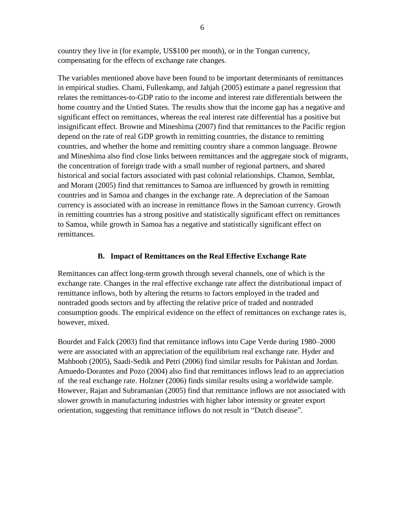country they live in (for example, US\$100 per month), or in the Tongan currency, compensating for the effects of exchange rate changes.

The variables mentioned above have been found to be important determinants of remittances in empirical studies. Chami, Fullenkamp, and Jahjah (2005) estimate a panel regression that relates the remittances-to-GDP ratio to the income and interest rate differentials between the home country and the Untied States. The results show that the income gap has a negative and significant effect on remittances, whereas the real interest rate differential has a positive but insignificant effect. Browne and Mineshima (2007) find that remittances to the Pacific region depend on the rate of real GDP growth in remitting countries, the distance to remitting countries, and whether the home and remitting country share a common language. Browne and Mineshima also find close links between remittances and the aggregate stock of migrants, the concentration of foreign trade with a small number of regional partners, and shared historical and social factors associated with past colonial relationships. Chamon, Semblat, and Morant (2005) find that remittances to Samoa are influenced by growth in remitting countries and in Samoa and changes in the exchange rate. A depreciation of the Samoan currency is associated with an increase in remittance flows in the Samoan currency. Growth in remitting countries has a strong positive and statistically significant effect on remittances to Samoa, while growth in Samoa has a negative and statistically significant effect on remittances.

### **B. Impact of Remittances on the Real Effective Exchange Rate**

<span id="page-6-0"></span>Remittances can affect long-term growth through several channels, one of which is the exchange rate. Changes in the real effective exchange rate affect the distributional impact of remittance inflows, both by altering the returns to factors employed in the traded and nontraded goods sectors and by affecting the relative price of traded and nontraded consumption goods. The empirical evidence on the effect of remittances on exchange rates is, however, mixed.

Bourdet and Falck (2003) find that remittance inflows into Cape Verde during 1980–2000 were are associated with an appreciation of the equilibrium real exchange rate. Hyder and Mahboob (2005), Saadi-Sedik and Petri (2006) find similar results for Pakistan and Jordan. Amuedo-Dorantes and Pozo (2004) also find that remittances inflows lead to an appreciation of the real exchange rate. Holzner (2006) finds similar results using a worldwide sample. However, Rajan and Subramanian (2005) find that remittance inflows are not associated with slower growth in manufacturing industries with higher labor intensity or greater export orientation, suggesting that remittance inflows do not result in "Dutch disease".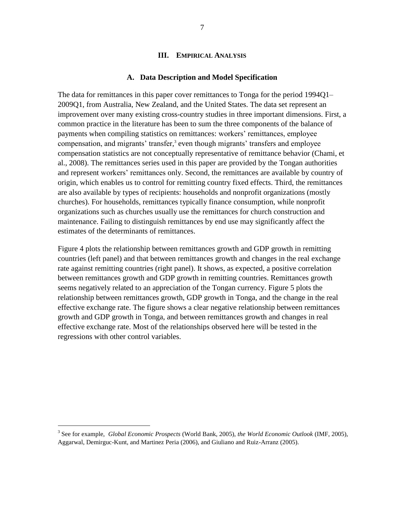#### <span id="page-7-0"></span>**III. EMPIRICAL ANALYSIS**

#### **A. Data Description and Model Specification**

<span id="page-7-1"></span>The data for remittances in this paper cover remittances to Tonga for the period 1994Q1– 2009Q1, from Australia, New Zealand, and the United States. The data set represent an improvement over many existing cross-country studies in three important dimensions. First, a common practice in the literature has been to sum the three components of the balance of payments when compiling statistics on remittances: workers' remittances, employee compensation, and migrants' transfer, 3 even though migrants' transfers and employee compensation statistics are not conceptually representative of remittance behavior (Chami, et al., 2008). The remittances series used in this paper are provided by the Tongan authorities and represent workers' remittances only. Second, the remittances are available by country of origin, which enables us to control for remitting country fixed effects. Third, the remittances are also available by types of recipients: households and nonprofit organizations (mostly churches). For households, remittances typically finance consumption, while nonprofit organizations such as churches usually use the remittances for church construction and maintenance. Failing to distinguish remittances by end use may significantly affect the estimates of the determinants of remittances.

Figure 4 plots the relationship between remittances growth and GDP growth in remitting countries (left panel) and that between remittances growth and changes in the real exchange rate against remitting countries (right panel). It shows, as expected, a positive correlation between remittances growth and GDP growth in remitting countries. Remittances growth seems negatively related to an appreciation of the Tongan currency. Figure 5 plots the relationship between remittances growth, GDP growth in Tonga, and the change in the real effective exchange rate. The figure shows a clear negative relationship between remittances growth and GDP growth in Tonga, and between remittances growth and changes in real effective exchange rate. Most of the relationships observed here will be tested in the regressions with other control variables.

 $\overline{a}$ 

<sup>3</sup> See for example, *Global Economic Prospects* (World Bank, 2005), *the World Economic Outlook* (IMF, 2005), Aggarwal, Demirguc-Kunt, and Martinez Peria (2006), and Giuliano and Ruiz-Arranz (2005).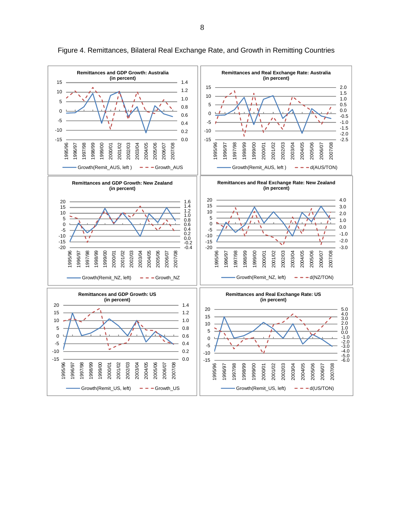<span id="page-8-0"></span>

Figure 4. Remittances, Bilateral Real Exchange Rate, and Growth in Remitting Countries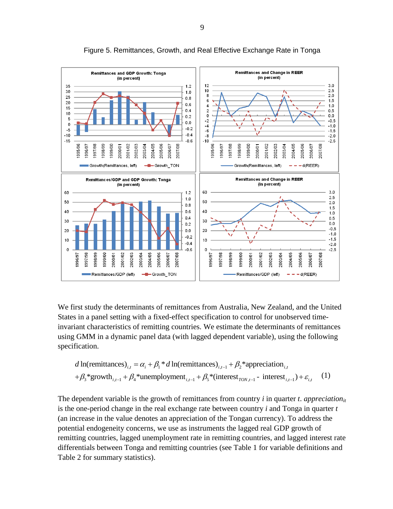

Figure 5. Remittances, Growth, and Real Effective Exchange Rate in Tonga

We first study the determinants of remittances from Australia, New Zealand, and the United States in a panel setting with a fixed-effect specification to control for unobserved timeinvariant characteristics of remitting countries. We estimate the determinants of remittances using GMM in a dynamic panel data (with lagged dependent variable), using the following specification.<br> *d* ln(remittances)<sub>*i,t*</sub> =  $\alpha_i + \beta_1 * d$  ln(remittances)<sub>*i,t*-1</sub> +  $\beta_2 *$ appreciation<sub>*i,t*</sub></sub> (d) specification.

$$
d\ln(\text{remittances})_{i,t} = \alpha_i + \beta_1 * d\ln(\text{remittances})_{i,t-1} + \beta_2 * \text{approxation}_{i,t} + \beta_3 * \text{growth}_{i,t-1} + \beta_4 * \text{unemployment}_{i,t-1} + \beta_5 * (\text{interest}_{TON,t-1} - \text{interest}_{i,t-1}) + \varepsilon_{i,t} \tag{1}
$$

The dependent variable is the growth of remittances from country *i* in quarter *t*. *appreciationit* is the one-period change in the real exchange rate between country *i* and Tonga in quarter *t* (an increase in the value denotes an appreciation of the Tongan currency). To address the potential endogeneity concerns, we use as instruments the lagged real GDP growth of remitting countries, lagged unemployment rate in remitting countries, and lagged interest rate differentials between Tonga and remitting countries (see Table 1 for variable definitions and Table 2 for summary statistics).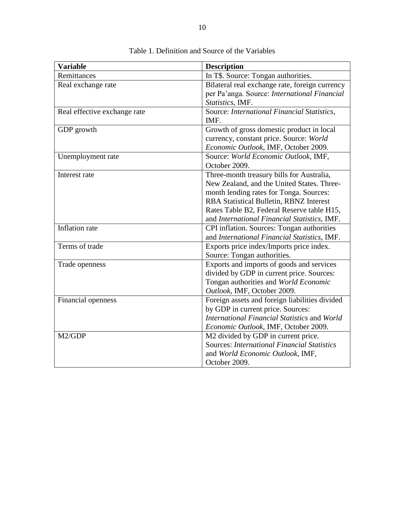<span id="page-10-0"></span>

| <b>Variable</b>              | <b>Description</b>                                  |
|------------------------------|-----------------------------------------------------|
| Remittances                  | In T\$. Source: Tongan authorities.                 |
| Real exchange rate           | Bilateral real exchange rate, foreign currency      |
|                              | per Pa'anga. Source: International Financial        |
|                              | Statistics, IMF.                                    |
| Real effective exchange rate | Source: International Financial Statistics,<br>IMF. |
| GDP growth                   | Growth of gross domestic product in local           |
|                              | currency, constant price. Source: World             |
|                              | Economic Outlook, IMF, October 2009.                |
| Unemployment rate            | Source: World Economic Outlook, IMF,                |
|                              | October 2009.                                       |
| Interest rate                | Three-month treasury bills for Australia,           |
|                              | New Zealand, and the United States. Three-          |
|                              | month lending rates for Tonga. Sources:             |
|                              | <b>RBA Statistical Bulletin, RBNZ Interest</b>      |
|                              | Rates Table B2, Federal Reserve table H15,          |
|                              | and International Financial Statistics, IMF.        |
| Inflation rate               | CPI inflation. Sources: Tongan authorities          |
|                              | and International Financial Statistics, IMF.        |
| Terms of trade               | Exports price index/Imports price index.            |
|                              | Source: Tongan authorities.                         |
| Trade openness               | Exports and imports of goods and services           |
|                              | divided by GDP in current price. Sources:           |
|                              | Tongan authorities and World Economic               |
|                              | Outlook, IMF, October 2009.                         |
| Financial openness           | Foreign assets and foreign liabilities divided      |
|                              | by GDP in current price. Sources:                   |
|                              | International Financial Statistics and World        |
|                              | Economic Outlook, IMF, October 2009.                |
| M2/GDP                       | M2 divided by GDP in current price.                 |
|                              | <b>Sources: International Financial Statistics</b>  |
|                              | and World Economic Outlook, IMF,                    |
|                              | October 2009.                                       |

Table 1. Definition and Source of the Variables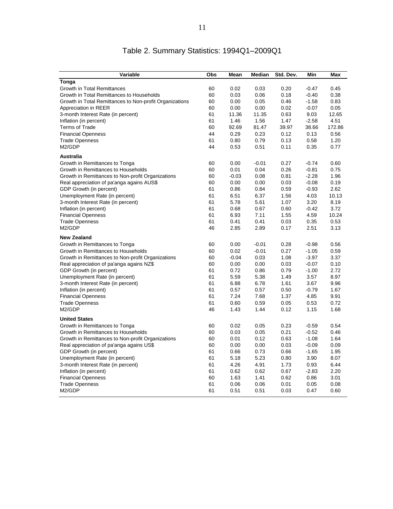<span id="page-11-0"></span>

| Variable                                                | Obs | Mean    | Median  | Std. Dev. | Min     | Max    |
|---------------------------------------------------------|-----|---------|---------|-----------|---------|--------|
| Tonga                                                   |     |         |         |           |         |        |
| <b>Growth in Total Remittances</b>                      | 60  | 0.02    | 0.03    | 0.20      | $-0.47$ | 0.45   |
| Growth in Total Remittances to Households               | 60  | 0.03    | 0.06    | 0.18      | $-0.40$ | 0.38   |
| Growth in Total Remittances to Non-profit Organizations | 60  | 0.00    | 0.05    | 0.46      | $-1.58$ | 0.83   |
| Appreciation in REER                                    | 60  | 0.00    | 0.00    | 0.02      | $-0.07$ | 0.05   |
| 3-month Interest Rate (in percent)                      | 61  | 11.36   | 11.35   | 0.63      | 9.03    | 12.65  |
| Inflation (in percent)                                  | 61  | 1.46    | 1.56    | 1.47      | $-2.58$ | 4.51   |
| <b>Terms of Trade</b>                                   | 60  | 92.69   | 81.47   | 39.97     | 38.66   | 172.86 |
| <b>Financial Openness</b>                               | 44  | 0.29    | 0.23    | 0.12      | 0.13    | 0.56   |
| <b>Trade Openness</b>                                   | 61  | 0.80    | 0.79    | 0.13      | 0.58    | 1.20   |
| M2/GDP                                                  | 44  | 0.53    | 0.51    | 0.11      | 0.35    | 0.77   |
| <b>Australia</b>                                        |     |         |         |           |         |        |
| Growth in Remittances to Tonga                          | 60  | 0.00    | $-0.01$ | 0.27      | $-0.74$ | 0.60   |
| Growth in Remittances to Households                     | 60  | 0.01    | 0.04    | 0.26      | $-0.81$ | 0.75   |
| Growth in Remittances to Non-profit Organizations       | 60  | $-0.03$ | 0.08    | 0.81      | $-2.28$ | 1.96   |
| Real appreciation of pa'anga agains AUS\$               | 60  | 0.00    | 0.00    | 0.03      | $-0.08$ | 0.19   |
| GDP Growth (in percent)                                 | 61  | 0.86    | 0.84    | 0.59      | $-0.93$ | 2.62   |
| Unemployment Rate (in percent)                          | 61  | 6.51    | 6.37    | 1.56      | 4.03    | 10.13  |
| 3-month Interest Rate (in percent)                      | 61  | 5.78    | 5.61    | 1.07      | 3.20    | 8.19   |
| Inflation (in percent)                                  | 61  | 0.68    | 0.67    | 0.60      | $-0.42$ | 3.72   |
| <b>Financial Openness</b>                               | 61  | 6.93    | 7.11    | 1.55      | 4.59    | 10.24  |
| <b>Trade Openness</b>                                   | 61  | 0.41    | 0.41    | 0.03      | 0.35    | 0.53   |
| M2/GDP                                                  | 46  | 2.85    | 2.89    | 0.17      | 2.51    | 3.13   |
| <b>New Zealand</b>                                      |     |         |         |           |         |        |
| Growth in Remittances to Tonga                          | 60  | 0.00    | $-0.01$ | 0.28      | $-0.98$ | 0.56   |
| Growth in Remittances to Households                     | 60  | 0.02    | $-0.01$ | 0.27      | $-1.05$ | 0.59   |
| Growth in Remittances to Non-profit Organizations       | 60  | $-0.04$ | 0.03    | 1.08      | $-3.97$ | 3.37   |
| Real appreciation of pa'anga agains NZ\$                | 60  | 0.00    | 0.00    | 0.03      | $-0.07$ | 0.10   |
| GDP Growth (in percent)                                 | 61  | 0.72    | 0.86    | 0.79      | $-1.00$ | 2.72   |
| Unemployment Rate (in percent)                          | 61  | 5.59    | 5.38    | 1.49      | 3.57    | 8.97   |
| 3-month Interest Rate (in percent)                      | 61  | 6.88    | 6.78    | 1.61      | 3.67    | 9.96   |
| Inflation (in percent)                                  | 61  | 0.57    | 0.57    | 0.50      | $-0.79$ | 1.67   |
| <b>Financial Openness</b>                               | 61  | 7.24    | 7.68    | 1.37      | 4.85    | 9.91   |
| <b>Trade Openness</b>                                   | 61  | 0.60    | 0.59    | 0.05      | 0.53    | 0.72   |
| M2/GDP                                                  | 46  | 1.43    | 1.44    | 0.12      | 1.15    | 1.68   |
| <b>United States</b>                                    |     |         |         |           |         |        |
| Growth in Remittances to Tonga                          | 60  | 0.02    | 0.05    | 0.23      | $-0.59$ | 0.54   |
| Growth in Remittances to Households                     | 60  | 0.03    | 0.05    | 0.21      | $-0.52$ | 0.46   |
| Growth in Remittances to Non-profit Organizations       | 60  | 0.01    | 0.12    | 0.63      | $-1.08$ | 1.64   |
| Real appreciation of pa'anga agains US\$                | 60  | 0.00    | 0.00    | 0.03      | $-0.09$ | 0.09   |
| GDP Growth (in percent)                                 | 61  | 0.66    | 0.73    | 0.66      | $-1.65$ | 1.95   |
| Unemployment Rate (in percent)                          | 61  | 5.18    | 5.23    | 0.80      | 3.90    | 8.07   |
| 3-month Interest Rate (in percent)                      | 61  | 4.26    | 4.91    | 1.73      | 0.93    | 6.44   |
| Inflation (in percent)                                  | 61  | 0.62    | 0.62    | 0.67      | $-2.83$ | 2.20   |
| <b>Financial Openness</b>                               | 60  | 1.63    | 1.41    | 0.62      | 0.86    | 3.01   |
| <b>Trade Openness</b>                                   | 61  | 0.06    | 0.06    | 0.01      | 0.05    | 0.08   |
| M2/GDP                                                  | 61  | 0.51    | 0.51    | 0.03      | 0.47    | 0.60   |

# Table 2. Summary Statistics: 1994Q1–2009Q1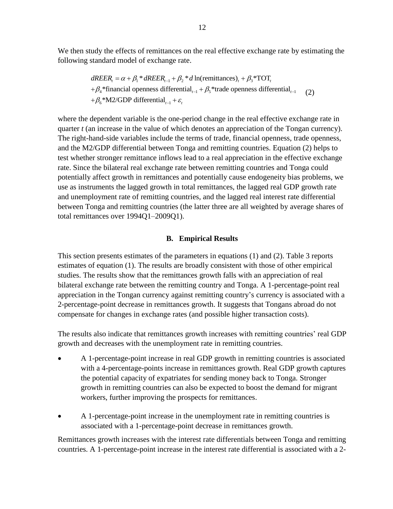We then study the effects of remittances on the real effective exchange rate by estimating the following standard model of exchange rate. tandard model of exchange rate.<br>  $dREER_t = \alpha + \beta_1 * dREER_{t-1} + \beta_2 * d \ln(\text{remitances})_t + \beta_3 * \text{TOT}_t$ 

REER<sub>t</sub> =  $\alpha + \beta_1 * dREER_{t-1} + \beta_2 * d$  ln(remittances), +  $\beta_3 * TOT$ ,<br>  $\beta_4 * f$  financial openness differential<sub>t-1</sub> +  $\beta_5 *$  trade openness differential<sub>t-1</sub>  $\frac{d}{dt}$ <sup>\*</sup> tinancial openness differential<br>  $\frac{d}{dt}$ <sub>6</sub> \*M2/GDP differential<sub> $t-1$ </sub> +  $\varepsilon$ <sub>t</sub> dREER<sub>t</sub> =  $\alpha + \beta_1 * dR E E R_{t-1} + \beta_2 * d$  In(remittances)<sub>t</sub> +  $\beta_3 * TOT$ ,<br>+ $\beta_4 * f$  inancial openness differential<sub>t-1</sub> +  $\beta_5 *$  trade openness differential<sub>t-1</sub> (2)<br>+ $\beta_6 * M2/GDP$  differential<sub>t-1</sub> +  $\varepsilon_t$  $dREER_t = \alpha + \beta_1 * dREER_{t-1} + \beta_2 * d \ln(\text{re} + \beta_4 * \text{financial openness differential}_{t-1} + \beta_5 * \text{M2/GDP differential}_{t-1} + \varepsilon_t$ (2)

where the dependent variable is the one-period change in the real effective exchange rate in quarter *t* (an increase in the value of which denotes an appreciation of the Tongan currency). The right-hand-side variables include the terms of trade, financial openness, trade openness, and the M2/GDP differential between Tonga and remitting countries. Equation (2) helps to test whether stronger remittance inflows lead to a real appreciation in the effective exchange rate. Since the bilateral real exchange rate between remitting countries and Tonga could potentially affect growth in remittances and potentially cause endogeneity bias problems, we use as instruments the lagged growth in total remittances, the lagged real GDP growth rate and unemployment rate of remitting countries, and the lagged real interest rate differential between Tonga and remitting countries (the latter three are all weighted by average shares of total remittances over 1994Q1–2009Q1).

#### **B. Empirical Results**

<span id="page-12-0"></span>This section presents estimates of the parameters in equations (1) and (2). Table 3 reports estimates of equation (1). The results are broadly consistent with those of other empirical studies. The results show that the remittances growth falls with an appreciation of real bilateral exchange rate between the remitting country and Tonga. A 1-percentage-point real appreciation in the Tongan currency against remitting country's currency is associated with a 2-percentage-point decrease in remittances growth. It suggests that Tongans abroad do not compensate for changes in exchange rates (and possible higher transaction costs).

The results also indicate that remittances growth increases with remitting countries' real GDP growth and decreases with the unemployment rate in remitting countries.

- A 1-percentage-point increase in real GDP growth in remitting countries is associated with a 4-percentage-points increase in remittances growth. Real GDP growth captures the potential capacity of expatriates for sending money back to Tonga. Stronger growth in remitting countries can also be expected to boost the demand for migrant workers, further improving the prospects for remittances.
- A 1-percentage-point increase in the unemployment rate in remitting countries is associated with a 1-percentage-point decrease in remittances growth.

Remittances growth increases with the interest rate differentials between Tonga and remitting countries. A 1-percentage-point increase in the interest rate differential is associated with a 2-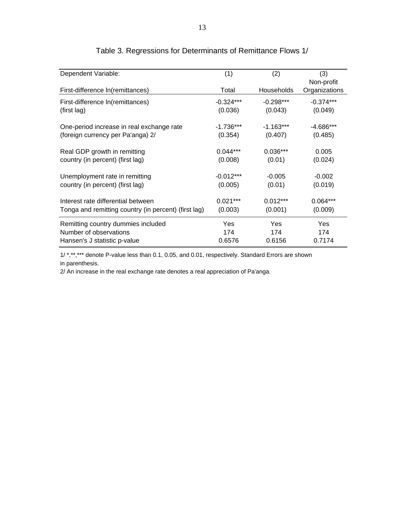| Dependent Variable:                                  | (1)<br>(2)  |             | (3)                         |  |
|------------------------------------------------------|-------------|-------------|-----------------------------|--|
| First-difference In(remittances)                     | Total       | Households  | Non-profit<br>Organizations |  |
| First-difference In(remittances)                     | $-0.324***$ | $-0.298***$ | $-0.374***$                 |  |
| (first lag)                                          | (0.036)     | (0.043)     | (0.049)                     |  |
| One-period increase in real exchange rate            | $-1.736***$ | $-1.163***$ | $-4.686***$                 |  |
| (foreign currency per Pa'anga) 2/                    | (0.354)     | (0.407)     | (0.485)                     |  |
| Real GDP growth in remitting                         | $0.044***$  | $0.036***$  | 0.005                       |  |
| country (in percent) (first lag)                     | (0.008)     | (0.01)      | (0.024)                     |  |
| Unemployment rate in remitting                       | $-0.012***$ | $-0.005$    | $-0.002$                    |  |
| country (in percent) (first lag)                     | (0.005)     | (0.01)      | (0.019)                     |  |
| Interest rate differential between                   | $0.021***$  | $0.012***$  | $0.064***$                  |  |
| Tonga and remitting country (in percent) (first lag) | (0.003)     | (0.001)     | (0.009)                     |  |
| Remitting country dummies included                   | Yes.        | <b>Yes</b>  | <b>Yes</b>                  |  |
| Number of observations                               | 174         | 174         | 174                         |  |
| Hansen's J statistic p-value                         | 0.6576      | 0.6156      | 0.7174                      |  |

# Table 3. Regressions for Determinants of Remittance Flows 1/

1/ \*,\*\*,\*\*\* denote P-value less than 0.1, 0.05, and 0.01, respectively. Standard Errors are shown in parenthesis.

2/ An increase in the real exchange rate denotes a real appreciation of Pa'anga.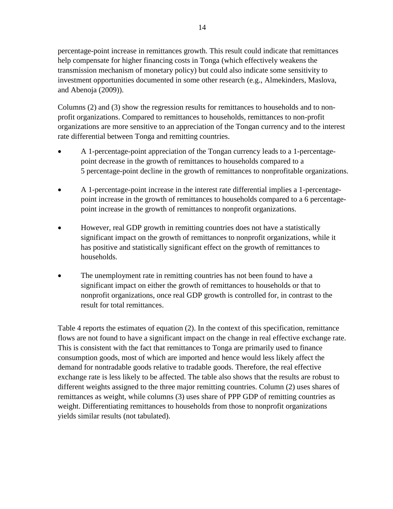percentage-point increase in remittances growth. This result could indicate that remittances help compensate for higher financing costs in Tonga (which effectively weakens the transmission mechanism of monetary policy) but could also indicate some sensitivity to investment opportunities documented in some other research (e.g., Almekinders, Maslova, and Abenoja (2009)).

Columns (2) and (3) show the regression results for remittances to households and to nonprofit organizations. Compared to remittances to households, remittances to non-profit organizations are more sensitive to an appreciation of the Tongan currency and to the interest rate differential between Tonga and remitting countries.

- A 1-percentage-point appreciation of the Tongan currency leads to a 1-percentagepoint decrease in the growth of remittances to households compared to a 5 percentage-point decline in the growth of remittances to nonprofitable organizations.
- A 1-percentage-point increase in the interest rate differential implies a 1-percentagepoint increase in the growth of remittances to households compared to a 6 percentagepoint increase in the growth of remittances to nonprofit organizations.
- However, real GDP growth in remitting countries does not have a statistically significant impact on the growth of remittances to nonprofit organizations, while it has positive and statistically significant effect on the growth of remittances to households.
- The unemployment rate in remitting countries has not been found to have a significant impact on either the growth of remittances to households or that to nonprofit organizations, once real GDP growth is controlled for, in contrast to the result for total remittances.

<span id="page-14-0"></span>Table 4 reports the estimates of equation (2). In the context of this specification, remittance flows are not found to have a significant impact on the change in real effective exchange rate. This is consistent with the fact that remittances to Tonga are primarily used to finance consumption goods, most of which are imported and hence would less likely affect the demand for nontradable goods relative to tradable goods. Therefore, the real effective exchange rate is less likely to be affected. The table also shows that the results are robust to different weights assigned to the three major remitting countries. Column (2) uses shares of remittances as weight, while columns (3) uses share of PPP GDP of remitting countries as weight. Differentiating remittances to households from those to nonprofit organizations yields similar results (not tabulated).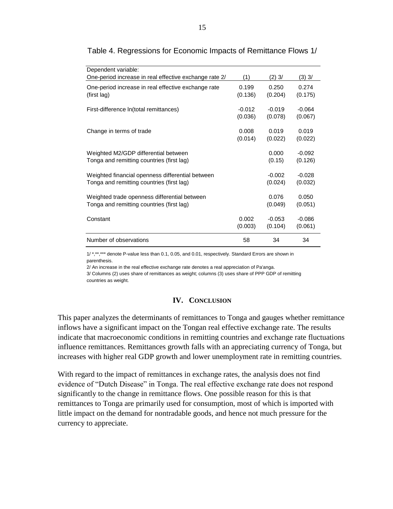| Dependent variable:<br>One-period increase in real effective exchange rate 2/ | (1)      | $(2)$ 3/ | $(3)$ 3/ |
|-------------------------------------------------------------------------------|----------|----------|----------|
| One-period increase in real effective exchange rate                           | 0.199    | 0.250    | 0.274    |
| (first lag)                                                                   | (0.136)  | (0.204)  | (0.175)  |
| First-difference In(total remittances)                                        | $-0.012$ | $-0.019$ | $-0.064$ |
|                                                                               | (0.036)  | (0.078)  | (0.067)  |
| Change in terms of trade                                                      | 0.008    | 0.019    | 0.019    |
|                                                                               | (0.014)  | (0.022)  | (0.022)  |
| Weighted M2/GDP differential between                                          |          | 0.000    | $-0.092$ |
| Tonga and remitting countries (first lag)                                     |          | (0.15)   | (0.126)  |
| Weighted financial openness differential between                              |          | $-0.002$ | $-0.028$ |
| Tonga and remitting countries (first lag)                                     |          | (0.024)  | (0.032)  |
| Weighted trade openness differential between                                  |          | 0.076    | 0.050    |
| Tonga and remitting countries (first lag)                                     |          | (0.049)  | (0.051)  |
| Constant                                                                      | 0.002    | $-0.053$ | $-0.086$ |
|                                                                               | (0.003)  | (0.104)  | (0.061)  |
| Number of observations                                                        | 58       | 34       | 34       |

#### <span id="page-15-1"></span>Table 4. Regressions for Economic Impacts of Remittance Flows 1/

1/ \*,\*\*,\*\*\* denote P-value less than 0.1, 0.05, and 0.01, respectively. Standard Errors are shown in parenthesis.

2/ An increase in the real effective exchange rate denotes a real appreciation of Pa'anga.

3/ Columns (2) uses share of remittances as weight; columns (3) uses share of PPP GDP of remitting countries as weight.

#### **IV. CONCLUSION**

<span id="page-15-0"></span>This paper analyzes the determinants of remittances to Tonga and gauges whether remittance inflows have a significant impact on the Tongan real effective exchange rate. The results indicate that macroeconomic conditions in remitting countries and exchange rate fluctuations influence remittances. Remittances growth falls with an appreciating currency of Tonga, but increases with higher real GDP growth and lower unemployment rate in remitting countries.

With regard to the impact of remittances in exchange rates, the analysis does not find evidence of "Dutch Disease" in Tonga. The real effective exchange rate does not respond significantly to the change in remittance flows. One possible reason for this is that remittances to Tonga are primarily used for consumption, most of which is imported with little impact on the demand for nontradable goods, and hence not much pressure for the currency to appreciate.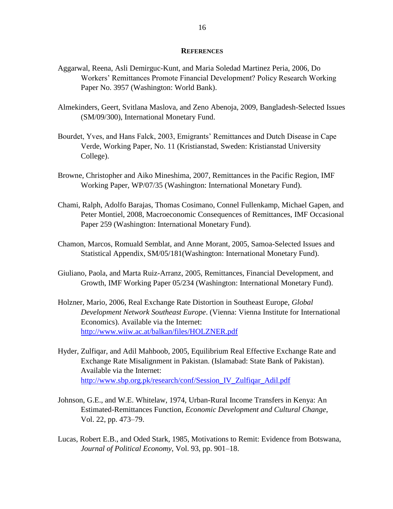#### **REFERENCES**

- <span id="page-16-0"></span>Aggarwal, Reena, Asli Demirguc-Kunt, and Maria Soledad Martinez Peria, 2006, Do Workers' Remittances Promote Financial Development? Policy Research Working Paper No. 3957 (Washington: World Bank).
- Almekinders, Geert, Svitlana Maslova, and Zeno Abenoja, 2009, Bangladesh-Selected Issues (SM/09/300), International Monetary Fund.
- Bourdet, Yves, and Hans Falck, 2003, Emigrants' Remittances and Dutch Disease in Cape Verde, Working Paper, No. 11 (Kristianstad, Sweden: Kristianstad University College).
- Browne, Christopher and Aiko Mineshima, 2007, Remittances in the Pacific Region, IMF Working Paper, WP/07/35 (Washington: International Monetary Fund).
- Chami, Ralph, Adolfo Barajas, Thomas Cosimano, Connel Fullenkamp, Michael Gapen, and Peter Montiel, 2008, Macroeconomic Consequences of Remittances, IMF Occasional Paper 259 (Washington: International Monetary Fund).
- Chamon, Marcos, Romuald Semblat, and Anne Morant, 2005, Samoa-Selected Issues and Statistical Appendix, SM/05/181(Washington: International Monetary Fund).
- Giuliano, Paola, and Marta Ruiz-Arranz, 2005, Remittances, Financial Development, and Growth, IMF Working Paper 05/234 (Washington: International Monetary Fund).
- Holzner, Mario, 2006, Real Exchange Rate Distortion in Southeast Europe, *Global Development Network Southeast Europe*. (Vienna: Vienna Institute for International Economics). Available via the Internet: <http://www.wiiw.ac.at/balkan/files/HOLZNER.pdf>
- Hyder, Zulfiqar, and Adil Mahboob, 2005, Equilibrium Real Effective Exchange Rate and Exchange Rate Misalignment in Pakistan. (Islamabad: State Bank of Pakistan). Available via the Internet: [http://www.sbp.org.pk/research/conf/Session\\_IV\\_Zulfiqar\\_Adil.pdf](http://www.sbp.org.pk/research/conf/Session_IV_Zulfiqar_Adil.pdf)
- Johnson, G.E., and W.E. Whitelaw, 1974, Urban-Rural Income Transfers in Kenya: An Estimated-Remittances Function, *Economic Development and Cultural Change*, Vol. 22, pp. 473–79.
- Lucas, Robert E.B., and Oded Stark, 1985, Motivations to Remit: Evidence from Botswana, *Journal of Political Economy*, Vol. 93, pp. 901–18.